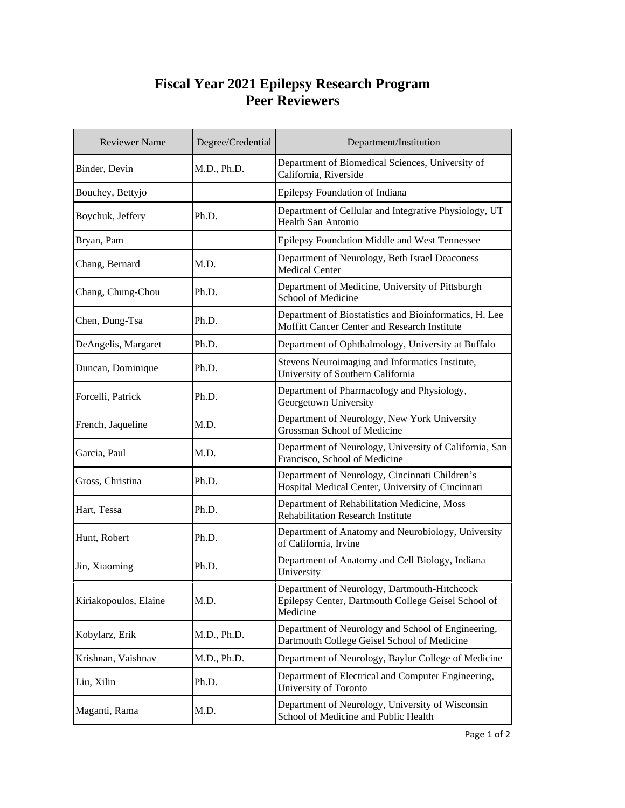## **Fiscal Year 2021 Epilepsy Research Program Peer Reviewers**

| <b>Reviewer Name</b>  | Degree/Credential | Department/Institution                                                                                          |
|-----------------------|-------------------|-----------------------------------------------------------------------------------------------------------------|
| Binder, Devin         | M.D., Ph.D.       | Department of Biomedical Sciences, University of<br>California, Riverside                                       |
| Bouchey, Bettyjo      |                   | Epilepsy Foundation of Indiana                                                                                  |
| Boychuk, Jeffery      | Ph.D.             | Department of Cellular and Integrative Physiology, UT<br><b>Health San Antonio</b>                              |
| Bryan, Pam            |                   | Epilepsy Foundation Middle and West Tennessee                                                                   |
| Chang, Bernard        | M.D.              | Department of Neurology, Beth Israel Deaconess<br><b>Medical Center</b>                                         |
| Chang, Chung-Chou     | Ph.D.             | Department of Medicine, University of Pittsburgh<br>School of Medicine                                          |
| Chen, Dung-Tsa        | Ph.D.             | Department of Biostatistics and Bioinformatics, H. Lee<br>Moffitt Cancer Center and Research Institute          |
| DeAngelis, Margaret   | Ph.D.             | Department of Ophthalmology, University at Buffalo                                                              |
| Duncan, Dominique     | Ph.D.             | Stevens Neuroimaging and Informatics Institute,<br>University of Southern California                            |
| Forcelli, Patrick     | Ph.D.             | Department of Pharmacology and Physiology,<br>Georgetown University                                             |
| French, Jaqueline     | M.D.              | Department of Neurology, New York University<br>Grossman School of Medicine                                     |
| Garcia, Paul          | M.D.              | Department of Neurology, University of California, San<br>Francisco, School of Medicine                         |
| Gross, Christina      | Ph.D.             | Department of Neurology, Cincinnati Children's<br>Hospital Medical Center, University of Cincinnati             |
| Hart, Tessa           | Ph.D.             | Department of Rehabilitation Medicine, Moss<br><b>Rehabilitation Research Institute</b>                         |
| Hunt, Robert          | Ph.D.             | Department of Anatomy and Neurobiology, University<br>of California, Irvine                                     |
| Jin, Xiaoming         | Ph.D.             | Department of Anatomy and Cell Biology, Indiana<br>University                                                   |
| Kiriakopoulos, Elaine | M.D.              | Department of Neurology, Dartmouth-Hitchcock<br>Epilepsy Center, Dartmouth College Geisel School of<br>Medicine |
| Kobylarz, Erik        | M.D., Ph.D.       | Department of Neurology and School of Engineering,<br>Dartmouth College Geisel School of Medicine               |
| Krishnan, Vaishnav    | M.D., Ph.D.       | Department of Neurology, Baylor College of Medicine                                                             |
| Liu, Xilin            | Ph.D.             | Department of Electrical and Computer Engineering,<br>University of Toronto                                     |
| Maganti, Rama         | M.D.              | Department of Neurology, University of Wisconsin<br>School of Medicine and Public Health                        |